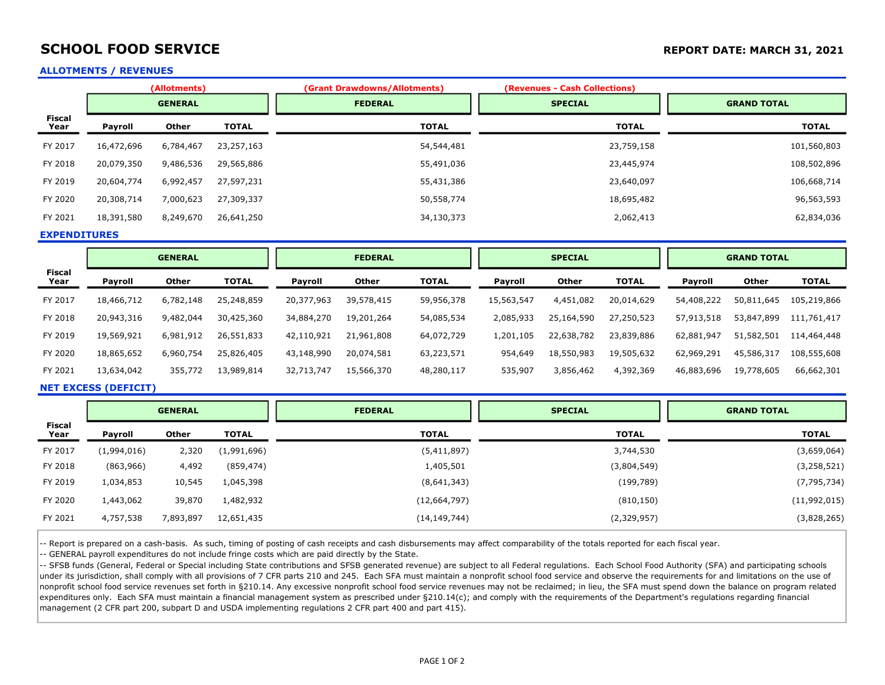# SCHOOL FOOD SERVICE **SCHOOL FOOD SERVICE REPORT DATE: MARCH 31, 2021**

#### ALLOTMENTS / REVENUES

|                       |            | (Allotments)   |              | (Grant Drawdowns/Allotments) | (Revenues - Cash Collections) |                    |
|-----------------------|------------|----------------|--------------|------------------------------|-------------------------------|--------------------|
|                       |            | <b>GENERAL</b> |              | <b>FEDERAL</b>               | <b>SPECIAL</b>                | <b>GRAND TOTAL</b> |
| <b>Fiscal</b><br>Year | Payroll    | Other          | <b>TOTAL</b> | <b>TOTAL</b>                 | <b>TOTAL</b>                  | <b>TOTAL</b>       |
| FY 2017               | 16,472,696 | 6,784,467      | 23,257,163   | 54,544,481                   | 23,759,158                    | 101,560,803        |
| FY 2018               | 20,079,350 | 9,486,536      | 29,565,886   | 55,491,036                   | 23,445,974                    | 108,502,896        |
| FY 2019               | 20,604,774 | 6,992,457      | 27,597,231   | 55,431,386                   | 23,640,097                    | 106,668,714        |
| FY 2020               | 20,308,714 | 7,000,623      | 27,309,337   | 50,558,774                   | 18,695,482                    | 96,563,593         |
| FY 2021               | 18,391,580 | 8,249,670      | 26,641,250   | 34,130,373                   | 2,062,413                     | 62,834,036         |

EXPENDITURES

|                       | <b>GENERAL</b> |              |              | <b>FEDERAL</b> |            | <b>SPECIAL</b> |            |              | <b>GRAND TOTAL</b> |            |            |              |
|-----------------------|----------------|--------------|--------------|----------------|------------|----------------|------------|--------------|--------------------|------------|------------|--------------|
| <b>Fiscal</b><br>Year | Payroll        | <b>Other</b> | <b>TOTAL</b> | Payroll        | Other      | <b>TOTAL</b>   | Payroll    | <b>Other</b> | <b>TOTAL</b>       | Payroll    | Other      | <b>TOTAL</b> |
| FY 2017               | 18,466,712     | 6,782,148    | 25,248,859   | 20,377,963     | 39,578,415 | 59,956,378     | 15,563,547 | 4,451,082    | 20,014,629         | 54,408,222 | 50,811,645 | 105,219,866  |
| FY 2018               | 20,943,316     | 9,482,044    | 30,425,360   | 34,884,270     | 19,201,264 | 54,085,534     | 2,085,933  | 25,164,590   | 27,250,523         | 57,913,518 | 53,847,899 | 111,761,417  |
| FY 2019               | 19,569,921     | 6,981,912    | 26,551,833   | 42,110,921     | 21,961,808 | 64,072,729     | 1,201,105  | 22,638,782   | 23,839,886         | 62,881,947 | 51,582,501 | 114,464,448  |
| FY 2020               | 18,865,652     | 6,960,754    | 25,826,405   | 43,148,990     | 20,074,581 | 63,223,571     | 954,649    | 18,550,983   | 19,505,632         | 62,969,291 | 45,586,317 | 108,555,608  |
| FY 2021               | 13,634,042     | 355,772      | 13,989,814   | 32,713,747     | 15,566,370 | 48,280,117     | 535,907    | 3,856,462    | 4,392,369          | 46,883,696 | 19,778,605 | 66,662,301   |

### NET EXCESS (DEFICIT)

|                       | <b>GENERAL</b> |           |              | <b>FEDERAL</b> | <b>SPECIAL</b> | <b>GRAND TOTAL</b> |  |
|-----------------------|----------------|-----------|--------------|----------------|----------------|--------------------|--|
| <b>Fiscal</b><br>Year | Payroll        | Other     | <b>TOTAL</b> | <b>TOTAL</b>   | <b>TOTAL</b>   | <b>TOTAL</b>       |  |
| FY 2017               | (1,994,016)    | 2,320     | (1,991,696)  | (5,411,897)    | 3,744,530      | (3,659,064)        |  |
| FY 2018               | (863,966)      | 4,492     | (859, 474)   | 1,405,501      | (3,804,549)    | (3, 258, 521)      |  |
| FY 2019               | 1,034,853      | 10,545    | 1,045,398    | (8,641,343)    | (199,789)      | (7, 795, 734)      |  |
| FY 2020               | 1,443,062      | 39,870    | 1,482,932    | (12, 664, 797) | (810, 150)     | (11,992,015)       |  |
| FY 2021               | 4,757,538      | 7,893,897 | 12,651,435   | (14, 149, 744) | (2,329,957)    | (3,828,265)        |  |

-- Report is prepared on a cash-basis. As such, timing of posting of cash receipts and cash disbursements may affect comparability of the totals reported for each fiscal year.

-- GENERAL payroll expenditures do not include fringe costs which are paid directly by the State.

-- SFSB funds (General, Federal or Special including State contributions and SFSB generated revenue) are subject to all Federal regulations. Each School Food Authority (SFA) and participating schools under its jurisdiction, shall comply with all provisions of 7 CFR parts 210 and 245. Each SFA must maintain a nonprofit school food service and observe the requirements for and limitations on the use of nonprofit school food service revenues set forth in §210.14. Any excessive nonprofit school food service revenues may not be reclaimed; in lieu, the SFA must spend down the balance on program related expenditures only. Each SFA must maintain a financial management system as prescribed under §210.14(c); and comply with the requirements of the Department's regulations regarding financial management (2 CFR part 200, subpart D and USDA implementing regulations 2 CFR part 400 and part 415).